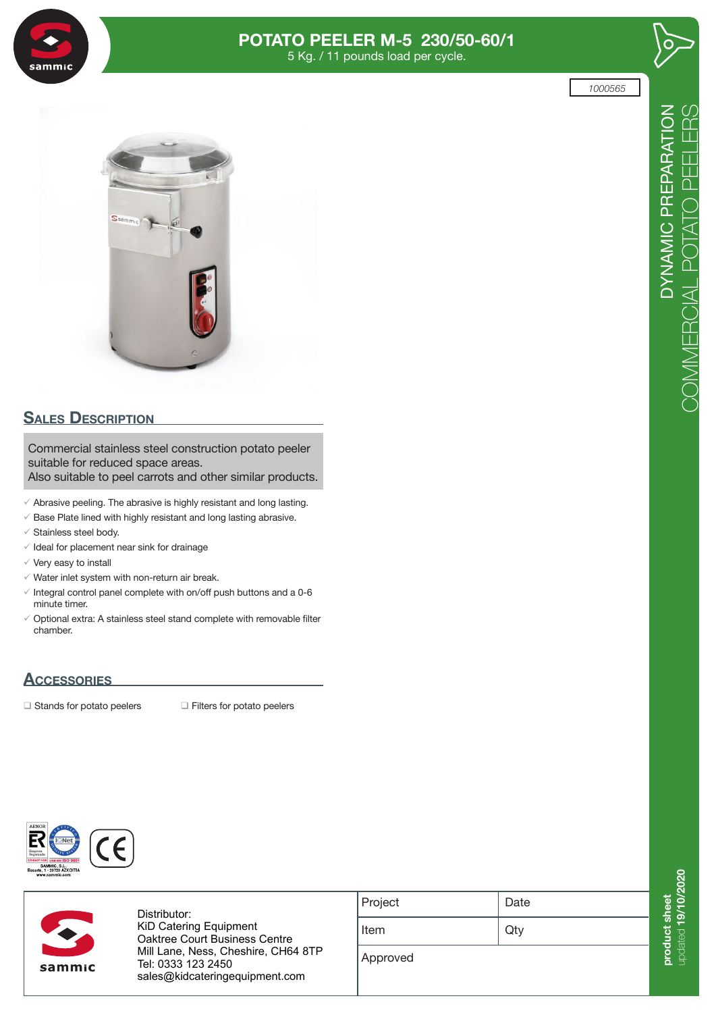

# **POTATO PEELER M-5 230/50-60/1**

5 Kg. / 11 pounds load per cycle.





# **SALES DESCRIPTION**

Commercial stainless steel construction potato peeler suitable for reduced space areas. Also suitable to peel carrots and other similar products.

 $\checkmark$  Abrasive peeling. The abrasive is highly resistant and long lasting.

- $\checkmark$  Base Plate lined with highly resistant and long lasting abrasive.
- $\checkmark$  Stainless steel body.
- $\checkmark$  Ideal for placement near sink for drainage
- $\checkmark$  Very easy to install
- $\checkmark$  Water inlet system with non-return air break.
- $\checkmark$  Integral control panel complete with on/off push buttons and a 0-6 minute timer.
- $\checkmark$  Optional extra: A stainless steel stand complete with removable filter chamber.

## **Accessories**

 $\Box$  Stands for potato peelers  $\Box$  Filters for potato peelers





Distributor: **KiD Catering Equipment**  $\overline{O}$  and  $\overline{O}$ Oaktree Court Business Centre Mill Lane, Ness, Cheshire, CH64 8TP **uksales@sammic.com** Tel: 0333 123 2450 **Tel.: +44 0116 246 1900** sales@kidcateringequipment.com

| Project | Date |
|---------|------|
| Item    | Qty  |
|         |      |

Approved